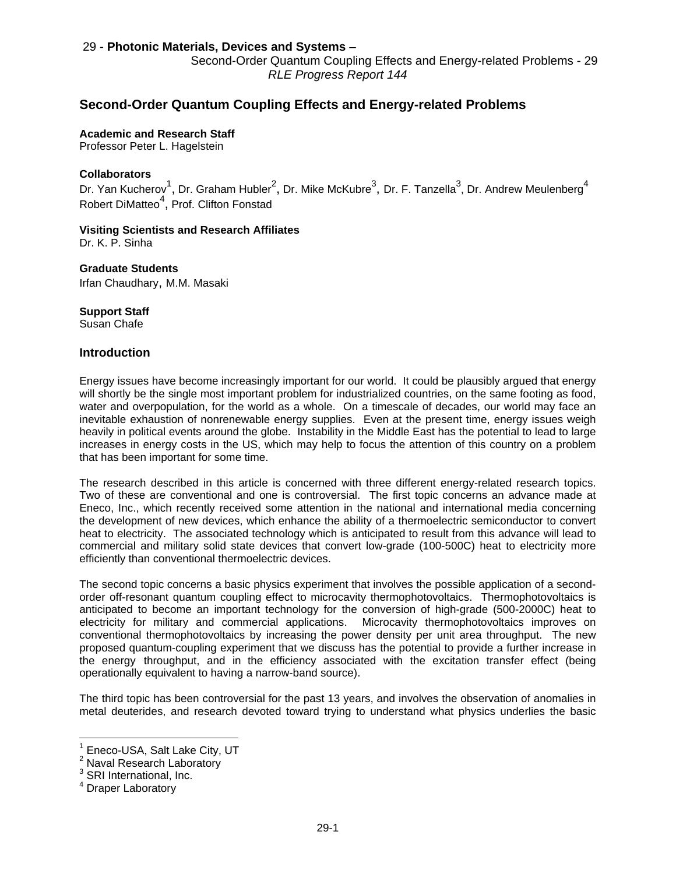Second-Order Quantum Coupling Effects and Energy-related Problems - 29 *RLE Progress Report 144* 

# **Second-Order Quantum Coupling Effects and Energy-related Problems**

#### **Academic and Research Staff**

Professor Peter L. Hagelstein

#### **Collaborators**

Dr. Yan Kucherov $^1$ , Dr. Graham Hubler $^2$ , Dr. Mike McKubre $^3$ , Dr. F. Tanzella $^3$ , Dr. Andrew Meulenberg $^4$ Robert DiMatteo<sup>4</sup>, Prof. Clifton Fonstad

# **Visiting Scientists and Research Affiliates**

Dr. K. P. Sinha

### **Graduate Students**

Irfan Chaudhary, M.M. Masaki

**Support Staff**  Susan Chafe

### **Introduction**

Energy issues have become increasingly important for our world. It could be plausibly argued that energy will shortly be the single most important problem for industrialized countries, on the same footing as food, water and overpopulation, for the world as a whole. On a timescale of decades, our world may face an inevitable exhaustion of nonrenewable energy supplies. Even at the present time, energy issues weigh heavily in political events around the globe. Instability in the Middle East has the potential to lead to large increases in energy costs in the US, which may help to focus the attention of this country on a problem that has been important for some time.

The research described in this article is concerned with three different energy-related research topics. Two of these are conventional and one is controversial. The first topic concerns an advance made at Eneco, Inc., which recently received some attention in the national and international media concerning the development of new devices, which enhance the ability of a thermoelectric semiconductor to convert heat to electricity. The associated technology which is anticipated to result from this advance will lead to commercial and military solid state devices that convert low-grade (100-500C) heat to electricity more efficiently than conventional thermoelectric devices.

The second topic concerns a basic physics experiment that involves the possible application of a secondorder off-resonant quantum coupling effect to microcavity thermophotovoltaics. Thermophotovoltaics is anticipated to become an important technology for the conversion of high-grade (500-2000C) heat to electricity for military and commercial applications. Microcavity thermophotovoltaics improves on conventional thermophotovoltaics by increasing the power density per unit area throughput. The new proposed quantum-coupling experiment that we discuss has the potential to provide a further increase in the energy throughput, and in the efficiency associated with the excitation transfer effect (being operationally equivalent to having a narrow-band source).

The third topic has been controversial for the past 13 years, and involves the observation of anomalies in metal deuterides, and research devoted toward trying to understand what physics underlies the basic

 $\overline{a}$ 

<sup>1</sup> Eneco-USA, Salt Lake City, UT

<sup>&</sup>lt;sup>2</sup> Naval Research Laboratory

<sup>&</sup>lt;sup>3</sup> SRI International, Inc.

<sup>4</sup> Draper Laboratory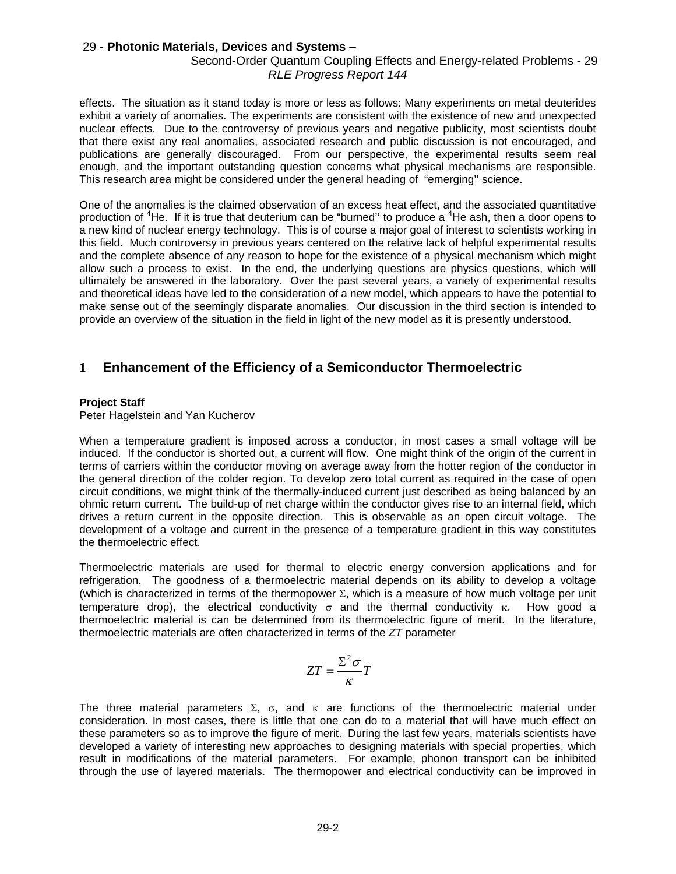### Second-Order Quantum Coupling Effects and Energy-related Problems - 29 *RLE Progress Report 144*

effects. The situation as it stand today is more or less as follows: Many experiments on metal deuterides exhibit a variety of anomalies. The experiments are consistent with the existence of new and unexpected nuclear effects. Due to the controversy of previous years and negative publicity, most scientists doubt that there exist any real anomalies, associated research and public discussion is not encouraged, and publications are generally discouraged. From our perspective, the experimental results seem real enough, and the important outstanding question concerns what physical mechanisms are responsible. This research area might be considered under the general heading of "emerging'' science.

One of the anomalies is the claimed observation of an excess heat effect, and the associated quantitative production of <sup>4</sup>He. If it is true that deuterium can be "burned" to produce a <sup>4</sup>He ash, then a door opens to a new kind of nuclear energy technology. This is of course a major goal of interest to scientists working in this field. Much controversy in previous years centered on the relative lack of helpful experimental results and the complete absence of any reason to hope for the existence of a physical mechanism which might allow such a process to exist. In the end, the underlying questions are physics questions, which will ultimately be answered in the laboratory. Over the past several years, a variety of experimental results and theoretical ideas have led to the consideration of a new model, which appears to have the potential to make sense out of the seemingly disparate anomalies. Our discussion in the third section is intended to provide an overview of the situation in the field in light of the new model as it is presently understood.

# **1 Enhancement of the Efficiency of a Semiconductor Thermoelectric**

### **Project Staff**

Peter Hagelstein and Yan Kucherov

When a temperature gradient is imposed across a conductor, in most cases a small voltage will be induced. If the conductor is shorted out, a current will flow. One might think of the origin of the current in terms of carriers within the conductor moving on average away from the hotter region of the conductor in the general direction of the colder region. To develop zero total current as required in the case of open circuit conditions, we might think of the thermally-induced current just described as being balanced by an ohmic return current. The build-up of net charge within the conductor gives rise to an internal field, which drives a return current in the opposite direction. This is observable as an open circuit voltage. The development of a voltage and current in the presence of a temperature gradient in this way constitutes the thermoelectric effect.

Thermoelectric materials are used for thermal to electric energy conversion applications and for refrigeration. The goodness of a thermoelectric material depends on its ability to develop a voltage (which is characterized in terms of the thermopower Σ, which is a measure of how much voltage per unit temperature drop), the electrical conductivity  $\sigma$  and the thermal conductivity κ. How good a thermoelectric material is can be determined from its thermoelectric figure of merit. In the literature, thermoelectric materials are often characterized in terms of the *ZT* parameter

$$
ZT = \frac{\sum^2 \sigma}{\kappa} T
$$

The three material parameters  $\Sigma$ ,  $\sigma$ , and  $\kappa$  are functions of the thermoelectric material under consideration. In most cases, there is little that one can do to a material that will have much effect on these parameters so as to improve the figure of merit. During the last few years, materials scientists have developed a variety of interesting new approaches to designing materials with special properties, which result in modifications of the material parameters. For example, phonon transport can be inhibited through the use of layered materials. The thermopower and electrical conductivity can be improved in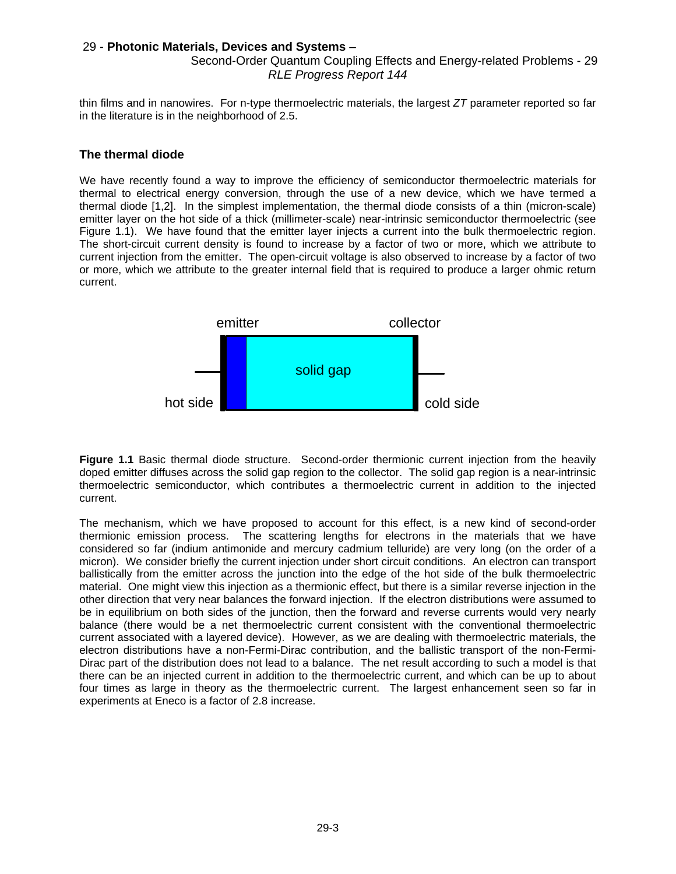### Second-Order Quantum Coupling Effects and Energy-related Problems - 29 *RLE Progress Report 144*

thin films and in nanowires. For n-type thermoelectric materials, the largest *ZT* parameter reported so far in the literature is in the neighborhood of 2.5.

### **The thermal diode**

We have recently found a way to improve the efficiency of semiconductor thermoelectric materials for thermal to electrical energy conversion, through the use of a new device, which we have termed a thermal diode [1,2]. In the simplest implementation, the thermal diode consists of a thin (micron-scale) emitter layer on the hot side of a thick (millimeter-scale) near-intrinsic semiconductor thermoelectric (see Figure 1.1). We have found that the emitter layer injects a current into the bulk thermoelectric region. The short-circuit current density is found to increase by a factor of two or more, which we attribute to current injection from the emitter. The open-circuit voltage is also observed to increase by a factor of two or more, which we attribute to the greater internal field that is required to produce a larger ohmic return current.



**Figure 1.1** Basic thermal diode structure. Second-order thermionic current injection from the heavily doped emitter diffuses across the solid gap region to the collector. The solid gap region is a near-intrinsic thermoelectric semiconductor, which contributes a thermoelectric current in addition to the injected current.

The mechanism, which we have proposed to account for this effect, is a new kind of second-order thermionic emission process. The scattering lengths for electrons in the materials that we have considered so far (indium antimonide and mercury cadmium telluride) are very long (on the order of a micron). We consider briefly the current injection under short circuit conditions. An electron can transport ballistically from the emitter across the junction into the edge of the hot side of the bulk thermoelectric material. One might view this injection as a thermionic effect, but there is a similar reverse injection in the other direction that very near balances the forward injection. If the electron distributions were assumed to be in equilibrium on both sides of the junction, then the forward and reverse currents would very nearly balance (there would be a net thermoelectric current consistent with the conventional thermoelectric current associated with a layered device). However, as we are dealing with thermoelectric materials, the electron distributions have a non-Fermi-Dirac contribution, and the ballistic transport of the non-Fermi-Dirac part of the distribution does not lead to a balance. The net result according to such a model is that there can be an injected current in addition to the thermoelectric current, and which can be up to about four times as large in theory as the thermoelectric current. The largest enhancement seen so far in experiments at Eneco is a factor of 2.8 increase.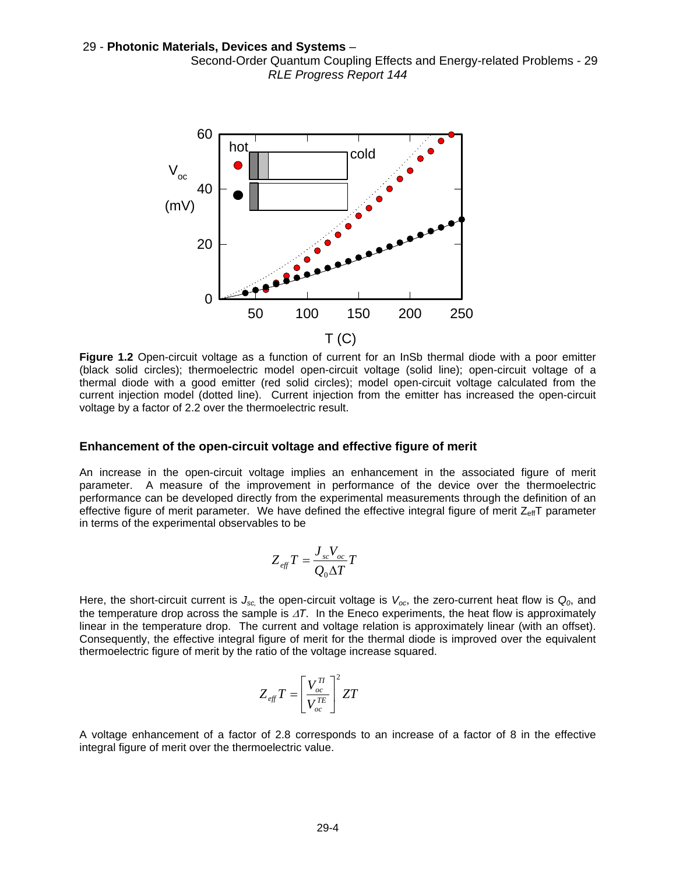

**Figure 1.2** Open-circuit voltage as a function of current for an InSb thermal diode with a poor emitter (black solid circles); thermoelectric model open-circuit voltage (solid line); open-circuit voltage of a thermal diode with a good emitter (red solid circles); model open-circuit voltage calculated from the current injection model (dotted line). Current injection from the emitter has increased the open-circuit voltage by a factor of 2.2 over the thermoelectric result.

#### **Enhancement of the open-circuit voltage and effective figure of merit**

An increase in the open-circuit voltage implies an enhancement in the associated figure of merit parameter. A measure of the improvement in performance of the device over the thermoelectric performance can be developed directly from the experimental measurements through the definition of an effective figure of merit parameter. We have defined the effective integral figure of merit  $Z_{\text{eff}}$ T parameter in terms of the experimental observables to be

$$
Z_{\mathit{eff}}\,T=\!\frac{J_{\mathit{sc}}V_{\mathit{oc}}}{\mathcal{Q}_0\Delta T}\,T
$$

Here, the short-circuit current is  $J_{sc}$ , the open-circuit voltage is  $V_{oc}$ , the zero-current heat flow is  $Q_0$ , and the temperature drop across the sample is ∆*T*. In the Eneco experiments, the heat flow is approximately linear in the temperature drop. The current and voltage relation is approximately linear (with an offset). Consequently, the effective integral figure of merit for the thermal diode is improved over the equivalent thermoelectric figure of merit by the ratio of the voltage increase squared.

$$
Z_{\mathit{eff}}\,T=\!\left[\frac{V_{oc}^{T I}}{V_{oc}^{TE}}\right]^2 Z T
$$

A voltage enhancement of a factor of 2.8 corresponds to an increase of a factor of 8 in the effective integral figure of merit over the thermoelectric value.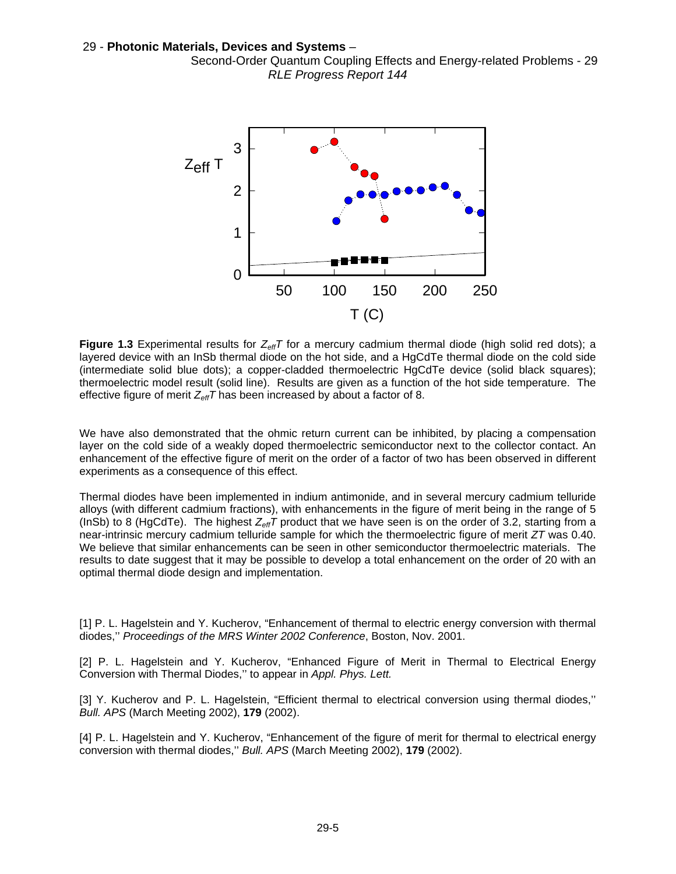

**Figure 1.3** Experimental results for  $Z_{\text{eff}}T$  for a mercury cadmium thermal diode (high solid red dots); a layered device with an InSb thermal diode on the hot side, and a HgCdTe thermal diode on the cold side (intermediate solid blue dots); a copper-cladded thermoelectric HgCdTe device (solid black squares); thermoelectric model result (solid line). Results are given as a function of the hot side temperature. The effective figure of merit  $Z_{\text{eff}}T$  has been increased by about a factor of 8.

We have also demonstrated that the ohmic return current can be inhibited, by placing a compensation layer on the cold side of a weakly doped thermoelectric semiconductor next to the collector contact. An enhancement of the effective figure of merit on the order of a factor of two has been observed in different experiments as a consequence of this effect.

Thermal diodes have been implemented in indium antimonide, and in several mercury cadmium telluride alloys (with different cadmium fractions), with enhancements in the figure of merit being in the range of 5 (InSb) to 8 (HgCdTe). The highest  $Z_{\text{eff}}$ *T* product that we have seen is on the order of 3.2, starting from a near-intrinsic mercury cadmium telluride sample for which the thermoelectric figure of merit *ZT* was 0.40. We believe that similar enhancements can be seen in other semiconductor thermoelectric materials. The results to date suggest that it may be possible to develop a total enhancement on the order of 20 with an optimal thermal diode design and implementation.

[1] P. L. Hagelstein and Y. Kucherov, "Enhancement of thermal to electric energy conversion with thermal diodes,'' *Proceedings of the MRS Winter 2002 Conference*, Boston, Nov. 2001.

[2] P. L. Hagelstein and Y. Kucherov, "Enhanced Figure of Merit in Thermal to Electrical Energy Conversion with Thermal Diodes,'' to appear in *Appl. Phys. Lett.* 

[3] Y. Kucherov and P. L. Hagelstein, "Efficient thermal to electrical conversion using thermal diodes," *Bull. APS* (March Meeting 2002), **179** (2002).

[4] P. L. Hagelstein and Y. Kucherov, "Enhancement of the figure of merit for thermal to electrical energy conversion with thermal diodes,'' *Bull. APS* (March Meeting 2002), **179** (2002).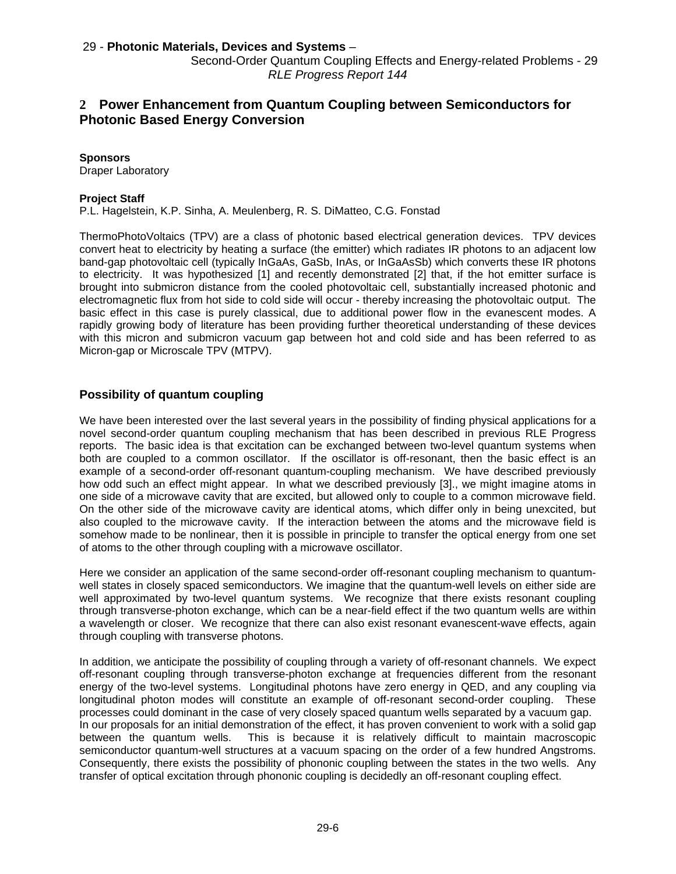Second-Order Quantum Coupling Effects and Energy-related Problems - 29 *RLE Progress Report 144* 

# **2 Power Enhancement from Quantum Coupling between Semiconductors for Photonic Based Energy Conversion**

### **Sponsors**

Draper Laboratory

### **Project Staff**

P.L. Hagelstein, K.P. Sinha, A. Meulenberg, R. S. DiMatteo, C.G. Fonstad

ThermoPhotoVoltaics (TPV) are a class of photonic based electrical generation devices. TPV devices convert heat to electricity by heating a surface (the emitter) which radiates IR photons to an adjacent low band-gap photovoltaic cell (typically InGaAs, GaSb, InAs, or InGaAsSb) which converts these IR photons to electricity. It was hypothesized [1] and recently demonstrated [2] that, if the hot emitter surface is brought into submicron distance from the cooled photovoltaic cell, substantially increased photonic and electromagnetic flux from hot side to cold side will occur - thereby increasing the photovoltaic output. The basic effect in this case is purely classical, due to additional power flow in the evanescent modes. A rapidly growing body of literature has been providing further theoretical understanding of these devices with this micron and submicron vacuum gap between hot and cold side and has been referred to as Micron-gap or Microscale TPV (MTPV).

# **Possibility of quantum coupling**

We have been interested over the last several years in the possibility of finding physical applications for a novel second-order quantum coupling mechanism that has been described in previous RLE Progress reports. The basic idea is that excitation can be exchanged between two-level quantum systems when both are coupled to a common oscillator. If the oscillator is off-resonant, then the basic effect is an example of a second-order off-resonant quantum-coupling mechanism. We have described previously how odd such an effect might appear. In what we described previously [3]., we might imagine atoms in one side of a microwave cavity that are excited, but allowed only to couple to a common microwave field. On the other side of the microwave cavity are identical atoms, which differ only in being unexcited, but also coupled to the microwave cavity. If the interaction between the atoms and the microwave field is somehow made to be nonlinear, then it is possible in principle to transfer the optical energy from one set of atoms to the other through coupling with a microwave oscillator.

Here we consider an application of the same second-order off-resonant coupling mechanism to quantumwell states in closely spaced semiconductors. We imagine that the quantum-well levels on either side are well approximated by two-level quantum systems. We recognize that there exists resonant coupling through transverse-photon exchange, which can be a near-field effect if the two quantum wells are within a wavelength or closer. We recognize that there can also exist resonant evanescent-wave effects, again through coupling with transverse photons.

In addition, we anticipate the possibility of coupling through a variety of off-resonant channels. We expect off-resonant coupling through transverse-photon exchange at frequencies different from the resonant energy of the two-level systems. Longitudinal photons have zero energy in QED, and any coupling via longitudinal photon modes will constitute an example of off-resonant second-order coupling. These processes could dominant in the case of very closely spaced quantum wells separated by a vacuum gap. In our proposals for an initial demonstration of the effect, it has proven convenient to work with a solid gap between the quantum wells. This is because it is relatively difficult to maintain macroscopic semiconductor quantum-well structures at a vacuum spacing on the order of a few hundred Angstroms. Consequently, there exists the possibility of phononic coupling between the states in the two wells. Any transfer of optical excitation through phononic coupling is decidedly an off-resonant coupling effect.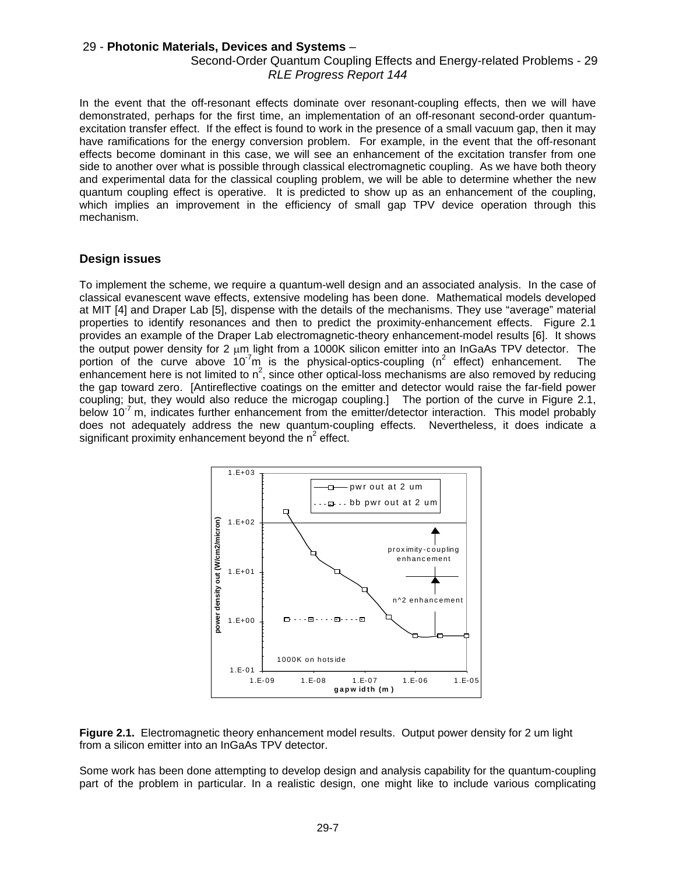### Second-Order Quantum Coupling Effects and Energy-related Problems - 29 *RLE Progress Report 144*

In the event that the off-resonant effects dominate over resonant-coupling effects, then we will have demonstrated, perhaps for the first time, an implementation of an off-resonant second-order quantumexcitation transfer effect. If the effect is found to work in the presence of a small vacuum gap, then it may have ramifications for the energy conversion problem. For example, in the event that the off-resonant effects become dominant in this case, we will see an enhancement of the excitation transfer from one side to another over what is possible through classical electromagnetic coupling. As we have both theory and experimental data for the classical coupling problem, we will be able to determine whether the new quantum coupling effect is operative. It is predicted to show up as an enhancement of the coupling, which implies an improvement in the efficiency of small gap TPV device operation through this mechanism.

### **Design issues**

To implement the scheme, we require a quantum-well design and an associated analysis. In the case of classical evanescent wave effects, extensive modeling has been done. Mathematical models developed at MIT [4] and Draper Lab [5], dispense with the details of the mechanisms. They use "average" material properties to identify resonances and then to predict the proximity-enhancement effects. Figure 2.1 provides an example of the Draper Lab electromagnetic-theory enhancement-model results [6]. It shows the output power density for 2 um light from a 1000K silicon emitter into an InGaAs TPV detector. The portion of the curve above 10<sup>-7</sup>m is the physical-optics-coupling (n<sup>2</sup> effect) enhancement. The enhancement here is not limited to  $n^2$ , since other optical-loss mechanisms are also removed by reducing the gap toward zero. [Antireflective coatings on the emitter and detector would raise the far-field power coupling; but, they would also reduce the microgap coupling.] The portion of the curve in Figure 2.1, below  $10^{-7}$  m, indicates further enhancement from the emitter/detector interaction. This model probably does not adequately address the new quantum-coupling effects. Nevertheless, it does indicate a significant proximity enhancement beyond the  $n^2$  effect.





Some work has been done attempting to develop design and analysis capability for the quantum-coupling part of the problem in particular. In a realistic design, one might like to include various complicating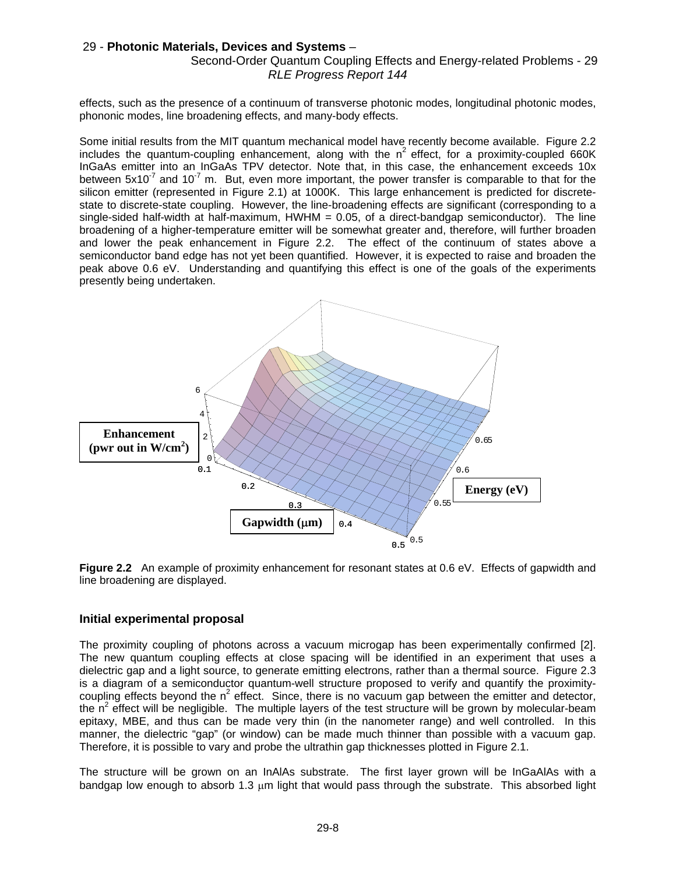### Second-Order Quantum Coupling Effects and Energy-related Problems - 29 *RLE Progress Report 144*

effects, such as the presence of a continuum of transverse photonic modes, longitudinal photonic modes, phononic modes, line broadening effects, and many-body effects.

Some initial results from the MIT quantum mechanical model have recently become available. Figure 2.2 includes the quantum-coupling enhancement, along with the  $n^2$  effect, for a proximity-coupled 660K InGaAs emitter into an InGaAs TPV detector. Note that, in this case, the enhancement exceeds 10x between  $5x10^{-7}$  and  $10^{-7}$  m. But, even more important, the power transfer is comparable to that for the silicon emitter (represented in Figure 2.1) at 1000K. This large enhancement is predicted for discretestate to discrete-state coupling. However, the line-broadening effects are significant (corresponding to a single-sided half-width at half-maximum,  $HWHM = 0.05$ , of a direct-bandgap semiconductor). The line broadening of a higher-temperature emitter will be somewhat greater and, therefore, will further broaden and lower the peak enhancement in Figure 2.2. The effect of the continuum of states above a semiconductor band edge has not yet been quantified. However, it is expected to raise and broaden the peak above 0.6 eV. Understanding and quantifying this effect is one of the goals of the experiments presently being undertaken.



**Figure 2.2** An example of proximity enhancement for resonant states at 0.6 eV. Effects of gapwidth and line broadening are displayed.

### **Initial experimental proposal**

The proximity coupling of photons across a vacuum microgap has been experimentally confirmed [2]. The new quantum coupling effects at close spacing will be identified in an experiment that uses a dielectric gap and a light source, to generate emitting electrons, rather than a thermal source. Figure 2.3 is a diagram of a semiconductor quantum-well structure proposed to verify and quantify the proximitycoupling effects beyond the  $n^2$  effect. Since, there is no vacuum gap between the emitter and detector, the  $n^2$  effect will be negligible. The multiple layers of the test structure will be grown by molecular-beam epitaxy, MBE, and thus can be made very thin (in the nanometer range) and well controlled. In this manner, the dielectric "gap" (or window) can be made much thinner than possible with a vacuum gap. Therefore, it is possible to vary and probe the ultrathin gap thicknesses plotted in Figure 2.1.

The structure will be grown on an InAlAs substrate. The first layer grown will be InGaAlAs with a bandgap low enough to absorb 1.3  $\mu$ m light that would pass through the substrate. This absorbed light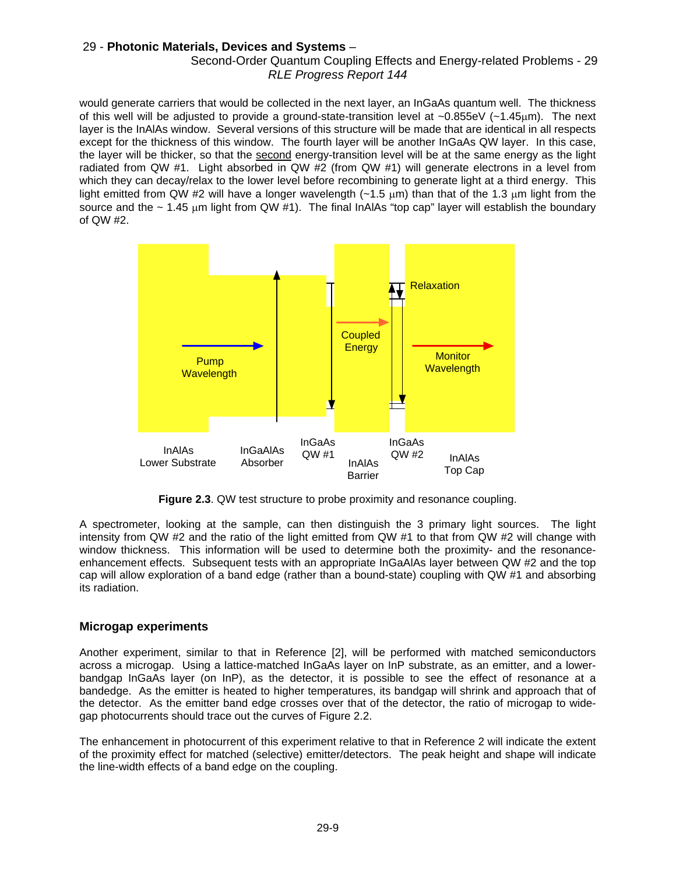#### Second-Order Quantum Coupling Effects and Energy-related Problems - 29 *RLE Progress Report 144*

would generate carriers that would be collected in the next layer, an InGaAs quantum well. The thickness of this well will be adjusted to provide a ground-state-transition level at  $\sim 0.855 \text{eV}$  ( $\sim 1.45 \text{µm}$ ). The next layer is the InAlAs window. Several versions of this structure will be made that are identical in all respects except for the thickness of this window. The fourth layer will be another InGaAs QW layer. In this case, the layer will be thicker, so that the second energy-transition level will be at the same energy as the light radiated from QW #1. Light absorbed in QW #2 (from QW #1) will generate electrons in a level from which they can decay/relax to the lower level before recombining to generate light at a third energy. This light emitted from QW #2 will have a longer wavelength  $(-1.5 \mu m)$  than that of the 1.3  $\mu m$  light from the source and the  $\sim$  1.45 µm light from QW #1). The final InAlAs "top cap" layer will establish the boundary of QW #2.



**Figure 2.3**. QW test structure to probe proximity and resonance coupling.

A spectrometer, looking at the sample, can then distinguish the 3 primary light sources. The light intensity from QW #2 and the ratio of the light emitted from QW #1 to that from QW #2 will change with window thickness. This information will be used to determine both the proximity- and the resonanceenhancement effects. Subsequent tests with an appropriate InGaAlAs layer between QW #2 and the top cap will allow exploration of a band edge (rather than a bound-state) coupling with QW #1 and absorbing its radiation.

### **Microgap experiments**

Another experiment, similar to that in Reference [2], will be performed with matched semiconductors across a microgap. Using a lattice-matched InGaAs layer on InP substrate, as an emitter, and a lowerbandgap InGaAs layer (on InP), as the detector, it is possible to see the effect of resonance at a bandedge. As the emitter is heated to higher temperatures, its bandgap will shrink and approach that of the detector. As the emitter band edge crosses over that of the detector, the ratio of microgap to widegap photocurrents should trace out the curves of Figure 2.2.

The enhancement in photocurrent of this experiment relative to that in Reference 2 will indicate the extent of the proximity effect for matched (selective) emitter/detectors. The peak height and shape will indicate the line-width effects of a band edge on the coupling.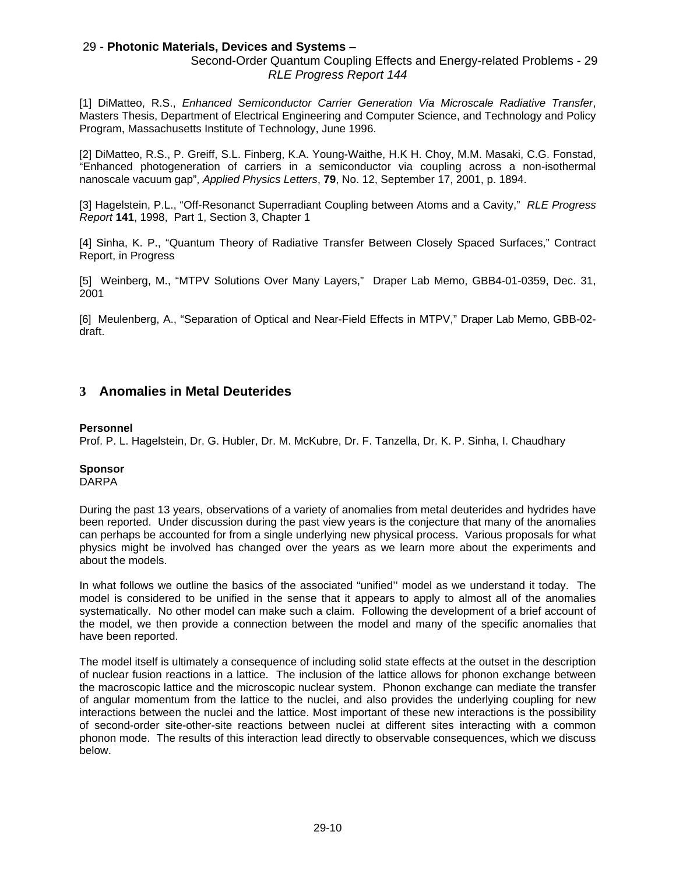### Second-Order Quantum Coupling Effects and Energy-related Problems - 29 *RLE Progress Report 144*

[1] DiMatteo, R.S., *Enhanced Semiconductor Carrier Generation Via Microscale Radiative Transfer*, Masters Thesis, Department of Electrical Engineering and Computer Science, and Technology and Policy Program, Massachusetts Institute of Technology, June 1996.

[2] DiMatteo, R.S., P. Greiff, S.L. Finberg, K.A. Young-Waithe, H.K H. Choy, M.M. Masaki, C.G. Fonstad, "Enhanced photogeneration of carriers in a semiconductor via coupling across a non-isothermal nanoscale vacuum gap", *Applied Physics Letters*, **79**, No. 12, September 17, 2001, p. 1894.

[3] Hagelstein, P.L., "Off-Resonanct Superradiant Coupling between Atoms and a Cavity," *RLE Progress Report* **141**, 1998, Part 1, Section 3, Chapter 1

[4] Sinha, K. P., "Quantum Theory of Radiative Transfer Between Closely Spaced Surfaces," Contract Report, in Progress

[5] Weinberg, M., "MTPV Solutions Over Many Layers," Draper Lab Memo, GBB4-01-0359, Dec. 31, 2001

[6] Meulenberg, A., "Separation of Optical and Near-Field Effects in MTPV," Draper Lab Memo, GBB-02 draft.

# **3 Anomalies in Metal Deuterides**

#### **Personnel**

Prof. P. L. Hagelstein, Dr. G. Hubler, Dr. M. McKubre, Dr. F. Tanzella, Dr. K. P. Sinha, I. Chaudhary

### **Sponsor**

DARPA

During the past 13 years, observations of a variety of anomalies from metal deuterides and hydrides have been reported. Under discussion during the past view years is the conjecture that many of the anomalies can perhaps be accounted for from a single underlying new physical process. Various proposals for what physics might be involved has changed over the years as we learn more about the experiments and about the models.

In what follows we outline the basics of the associated "unified'' model as we understand it today. The model is considered to be unified in the sense that it appears to apply to almost all of the anomalies systematically. No other model can make such a claim. Following the development of a brief account of the model, we then provide a connection between the model and many of the specific anomalies that have been reported.

The model itself is ultimately a consequence of including solid state effects at the outset in the description of nuclear fusion reactions in a lattice. The inclusion of the lattice allows for phonon exchange between the macroscopic lattice and the microscopic nuclear system. Phonon exchange can mediate the transfer of angular momentum from the lattice to the nuclei, and also provides the underlying coupling for new interactions between the nuclei and the lattice. Most important of these new interactions is the possibility of second-order site-other-site reactions between nuclei at different sites interacting with a common phonon mode. The results of this interaction lead directly to observable consequences, which we discuss below.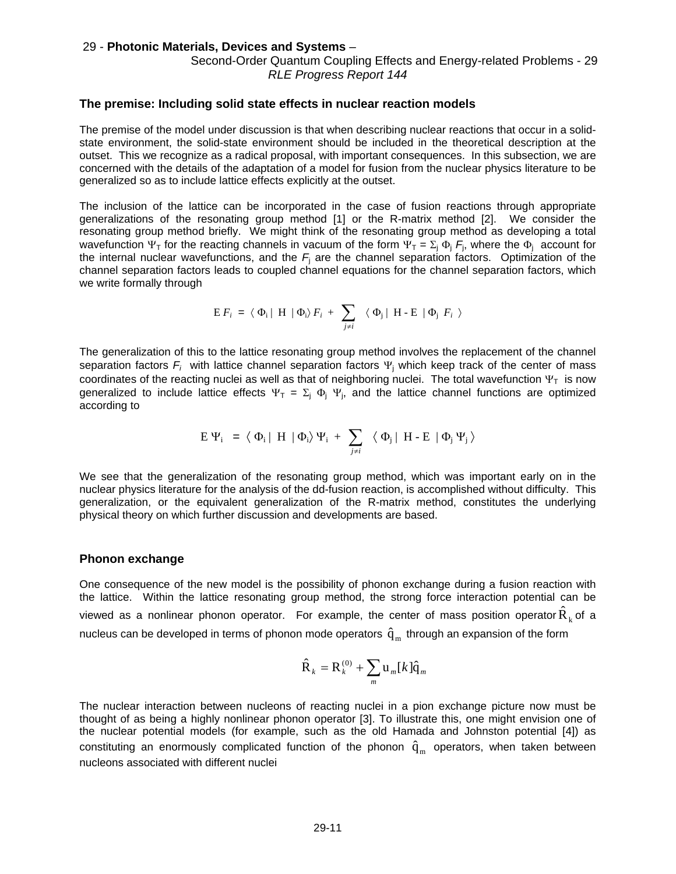Second-Order Quantum Coupling Effects and Energy-related Problems - 29 *RLE Progress Report 144* 

#### **The premise: Including solid state effects in nuclear reaction models**

The premise of the model under discussion is that when describing nuclear reactions that occur in a solidstate environment, the solid-state environment should be included in the theoretical description at the outset. This we recognize as a radical proposal, with important consequences. In this subsection, we are concerned with the details of the adaptation of a model for fusion from the nuclear physics literature to be generalized so as to include lattice effects explicitly at the outset.

The inclusion of the lattice can be incorporated in the case of fusion reactions through appropriate generalizations of the resonating group method [1] or the R-matrix method [2]. We consider the resonating group method briefly. We might think of the resonating group method as developing a total wavefunction  $\Psi$ <sub>T</sub> for the reacting channels in vacuum of the form  $\Psi$ <sub>T</sub> =  $\Sigma_j$   $\Phi_j$  *F*<sub>j</sub>, where the  $\Phi_j$  account for the internal nuclear wavefunctions, and the *F*<sup>j</sup> are the channel separation factors. Optimization of the channel separation factors leads to coupled channel equations for the channel separation factors, which we write formally through

$$
E F_i = \langle \Phi_i | H | \Phi_i \rangle F_i + \sum_{j \neq i} \langle \Phi_j | H - E | \Phi_j F_i \rangle
$$

The generalization of this to the lattice resonating group method involves the replacement of the channel separation factors *Fi* with lattice channel separation factors Ψ<sup>j</sup> which keep track of the center of mass coordinates of the reacting nuclei as well as that of neighboring nuclei. The total wavefunction  $\Psi_T$  is now generalized to include lattice effects  $\Psi_T = \Sigma_j \Phi_j \Psi_j$ , and the lattice channel functions are optimized according to

$$
E \, \Psi_i \ = \ \langle \, \Phi_i \, | \ H \ | \Phi_i \rangle \, \Psi_i \ + \ \sum_{j \neq i} \ \langle \, \Phi_j \, | \ H \text{-}E \ | \Phi_j \, \Psi_j \, \rangle
$$

We see that the generalization of the resonating group method, which was important early on in the nuclear physics literature for the analysis of the dd-fusion reaction, is accomplished without difficulty. This generalization, or the equivalent generalization of the R-matrix method, constitutes the underlying physical theory on which further discussion and developments are based.

#### **Phonon exchange**

One consequence of the new model is the possibility of phonon exchange during a fusion reaction with the lattice. Within the lattice resonating group method, the strong force interaction potential can be viewed as a nonlinear phonon operator. For example, the center of mass position operator  $\ddot{R}_k$  of a nucleus can be developed in terms of phonon mode operators  $\hat{q}_m^{\dagger}$  through an expansion of the form

$$
\hat{\mathbf{R}}_k = \mathbf{R}_k^{(0)} + \sum_m \mathbf{u}_m[k] \hat{\mathbf{q}}_m
$$

The nuclear interaction between nucleons of reacting nuclei in a pion exchange picture now must be thought of as being a highly nonlinear phonon operator [3]. To illustrate this, one might envision one of the nuclear potential models (for example, such as the old Hamada and Johnston potential [4]) as constituting an enormously complicated function of the phonon  $\hat{q}_m$  operators, when taken between nucleons associated with different nuclei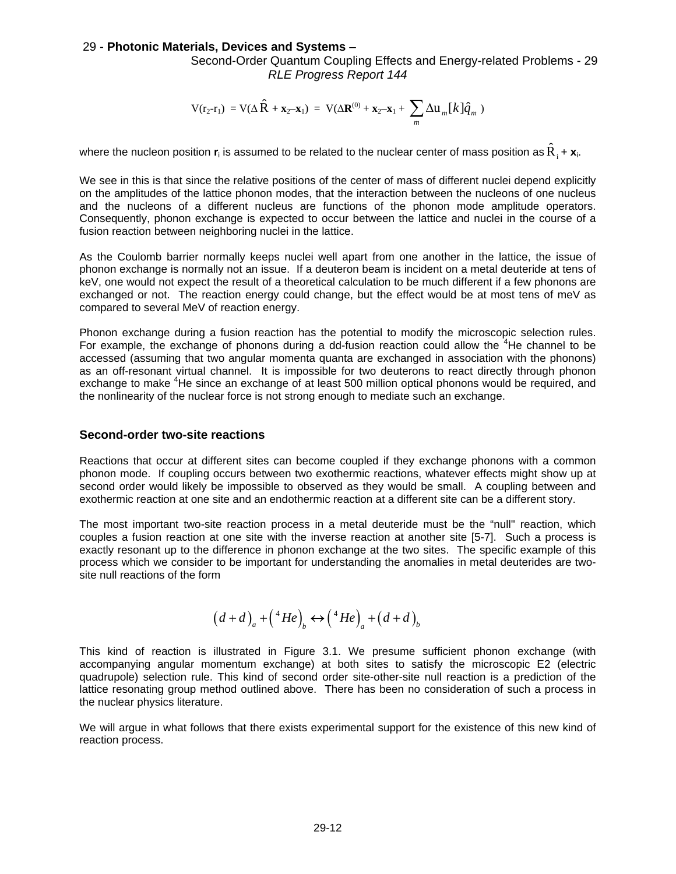Second-Order Quantum Coupling Effects and Energy-related Problems - 29 *RLE Progress Report 144* 

$$
V(r_2-r_1) = V(\Delta \hat{R} + x_2-x_1) = V(\Delta R^{(0)} + x_2-x_1 + \sum_m \Delta u_m[k]\hat{q}_m)
$$

where the nucleon position  $\mathbf{r}_i$  is assumed to be related to the nuclear center of mass position as  $\mathbf{\hat{R}}_i$  +  $\mathbf{x}_i$ .

We see in this is that since the relative positions of the center of mass of different nuclei depend explicitly on the amplitudes of the lattice phonon modes, that the interaction between the nucleons of one nucleus and the nucleons of a different nucleus are functions of the phonon mode amplitude operators. Consequently, phonon exchange is expected to occur between the lattice and nuclei in the course of a fusion reaction between neighboring nuclei in the lattice.

As the Coulomb barrier normally keeps nuclei well apart from one another in the lattice, the issue of phonon exchange is normally not an issue. If a deuteron beam is incident on a metal deuteride at tens of keV, one would not expect the result of a theoretical calculation to be much different if a few phonons are exchanged or not. The reaction energy could change, but the effect would be at most tens of meV as compared to several MeV of reaction energy.

Phonon exchange during a fusion reaction has the potential to modify the microscopic selection rules. For example, the exchange of phonons during a dd-fusion reaction could allow the <sup>4</sup>He channel to be accessed (assuming that two angular momenta quanta are exchanged in association with the phonons) as an off-resonant virtual channel. It is impossible for two deuterons to react directly through phonon exchange to make <sup>4</sup>He since an exchange of at least 500 million optical phonons would be required, and the nonlinearity of the nuclear force is not strong enough to mediate such an exchange.

#### **Second-order two-site reactions**

Reactions that occur at different sites can become coupled if they exchange phonons with a common phonon mode. If coupling occurs between two exothermic reactions, whatever effects might show up at second order would likely be impossible to observed as they would be small. A coupling between and exothermic reaction at one site and an endothermic reaction at a different site can be a different story.

The most important two-site reaction process in a metal deuteride must be the "null'' reaction, which couples a fusion reaction at one site with the inverse reaction at another site [5-7]. Such a process is exactly resonant up to the difference in phonon exchange at the two sites. The specific example of this process which we consider to be important for understanding the anomalies in metal deuterides are twosite null reactions of the form

$$
(d+d)_{a} + {4He}_{b} \leftrightarrow {4He}_{a} + (d+d)_{b}
$$

This kind of reaction is illustrated in Figure 3.1. We presume sufficient phonon exchange (with accompanying angular momentum exchange) at both sites to satisfy the microscopic E2 (electric quadrupole) selection rule. This kind of second order site-other-site null reaction is a prediction of the lattice resonating group method outlined above. There has been no consideration of such a process in the nuclear physics literature.

We will argue in what follows that there exists experimental support for the existence of this new kind of reaction process.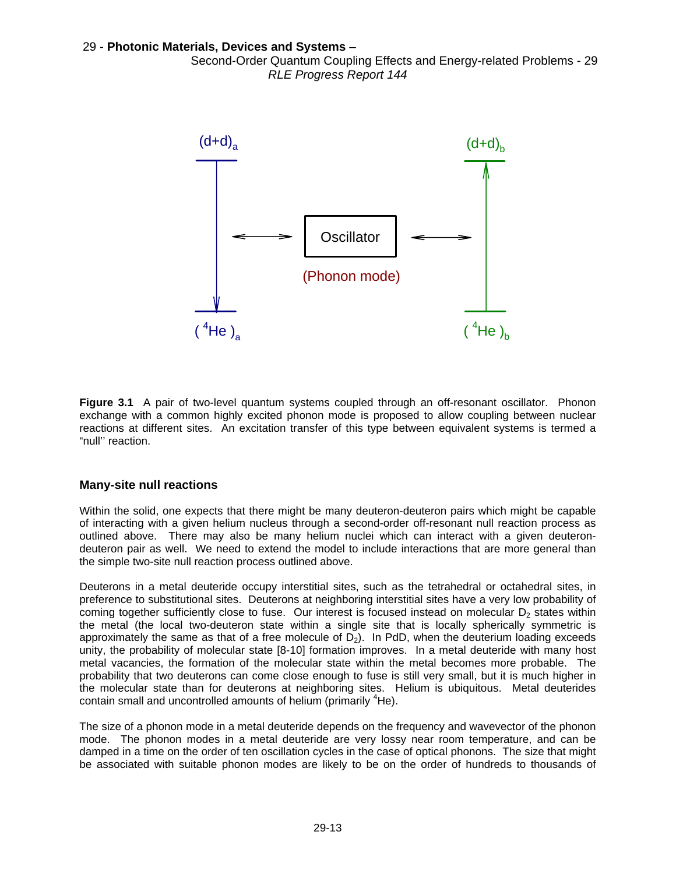

**Figure 3.1** A pair of two-level quantum systems coupled through an off-resonant oscillator. Phonon exchange with a common highly excited phonon mode is proposed to allow coupling between nuclear reactions at different sites. An excitation transfer of this type between equivalent systems is termed a "null'' reaction.

### **Many-site null reactions**

Within the solid, one expects that there might be many deuteron-deuteron pairs which might be capable of interacting with a given helium nucleus through a second-order off-resonant null reaction process as outlined above. There may also be many helium nuclei which can interact with a given deuterondeuteron pair as well. We need to extend the model to include interactions that are more general than the simple two-site null reaction process outlined above.

Deuterons in a metal deuteride occupy interstitial sites, such as the tetrahedral or octahedral sites, in preference to substitutional sites. Deuterons at neighboring interstitial sites have a very low probability of coming together sufficiently close to fuse. Our interest is focused instead on molecular  $D<sub>2</sub>$  states within the metal (the local two-deuteron state within a single site that is locally spherically symmetric is approximately the same as that of a free molecule of  $D<sub>2</sub>$ ). In PdD, when the deuterium loading exceeds unity, the probability of molecular state [8-10] formation improves. In a metal deuteride with many host metal vacancies, the formation of the molecular state within the metal becomes more probable. The probability that two deuterons can come close enough to fuse is still very small, but it is much higher in the molecular state than for deuterons at neighboring sites. Helium is ubiquitous. Metal deuterides contain small and uncontrolled amounts of helium (primarily  ${}^{4}$ He).

The size of a phonon mode in a metal deuteride depends on the frequency and wavevector of the phonon mode. The phonon modes in a metal deuteride are very lossy near room temperature, and can be damped in a time on the order of ten oscillation cycles in the case of optical phonons. The size that might be associated with suitable phonon modes are likely to be on the order of hundreds to thousands of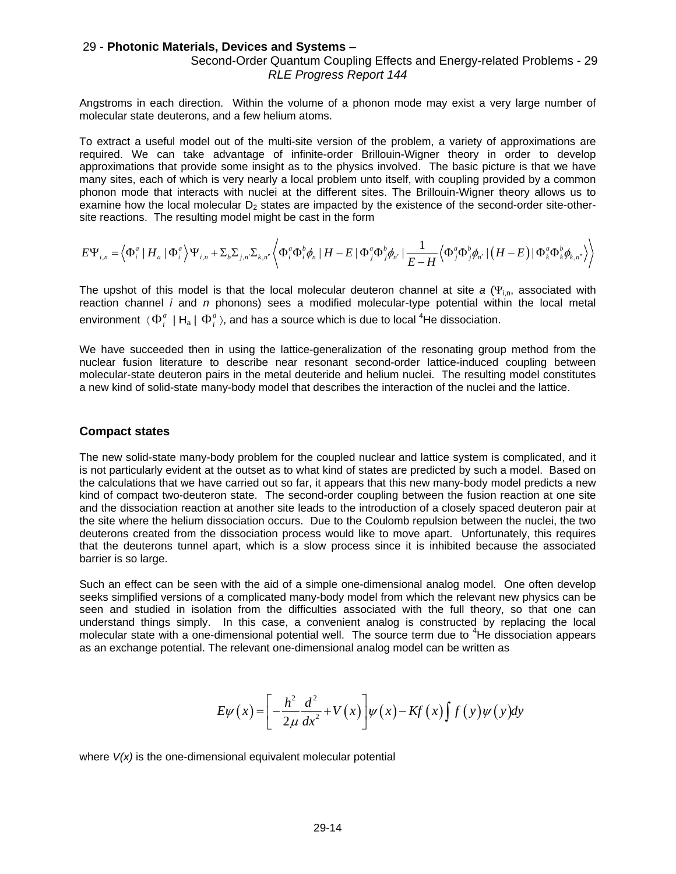### Second-Order Quantum Coupling Effects and Energy-related Problems - 29 *RLE Progress Report 144*

Angstroms in each direction. Within the volume of a phonon mode may exist a very large number of molecular state deuterons, and a few helium atoms.

To extract a useful model out of the multi-site version of the problem, a variety of approximations are required. We can take advantage of infinite-order Brillouin-Wigner theory in order to develop approximations that provide some insight as to the physics involved. The basic picture is that we have many sites, each of which is very nearly a local problem unto itself, with coupling provided by a common phonon mode that interacts with nuclei at the different sites. The Brillouin-Wigner theory allows us to examine how the local molecular  $D<sub>2</sub>$  states are impacted by the existence of the second-order site-othersite reactions. The resulting model might be cast in the form

$$
E\Psi_{i,n} = \left\langle \Phi_i^a \mid H_a \mid \Phi_i^a \right\rangle \Psi_{i,n} + \Sigma_b \Sigma_{j,n'} \Sigma_{k,n'} \left\langle \Phi_i^a \Phi_i^b \phi_n \mid H - E \mid \Phi_j^a \Phi_j^b \phi_{n'} \mid \frac{1}{E - H} \left\langle \Phi_j^a \Phi_j^b \phi_{n'} \mid (H - E) \mid \Phi_k^a \Phi_k^b \phi_{k,n'} \right\rangle \right\rangle
$$

The upshot of this model is that the local molecular deuteron channel at site  $a$  ( $\Psi_{i,n}$ , associated with reaction channel *i* and *n* phonons) sees a modified molecular-type potential within the local metal environment  $\langle \Phi^a_i \mid H_a \mid \Phi^a_i \rangle$ , and has a source which is due to local <sup>4</sup>He dissociation.

We have succeeded then in using the lattice-generalization of the resonating group method from the nuclear fusion literature to describe near resonant second-order lattice-induced coupling between molecular-state deuteron pairs in the metal deuteride and helium nuclei. The resulting model constitutes a new kind of solid-state many-body model that describes the interaction of the nuclei and the lattice.

### **Compact states**

The new solid-state many-body problem for the coupled nuclear and lattice system is complicated, and it is not particularly evident at the outset as to what kind of states are predicted by such a model. Based on the calculations that we have carried out so far, it appears that this new many-body model predicts a new kind of compact two-deuteron state. The second-order coupling between the fusion reaction at one site and the dissociation reaction at another site leads to the introduction of a closely spaced deuteron pair at the site where the helium dissociation occurs. Due to the Coulomb repulsion between the nuclei, the two deuterons created from the dissociation process would like to move apart. Unfortunately, this requires that the deuterons tunnel apart, which is a slow process since it is inhibited because the associated barrier is so large.

Such an effect can be seen with the aid of a simple one-dimensional analog model. One often develop seeks simplified versions of a complicated many-body model from which the relevant new physics can be seen and studied in isolation from the difficulties associated with the full theory, so that one can understand things simply. In this case, a convenient analog is constructed by replacing the local molecular state with a one-dimensional potential well. The source term due to <sup>4</sup>He dissociation appears as an exchange potential. The relevant one-dimensional analog model can be written as

$$
E\psi(x) = \left[ -\frac{h^2}{2\mu} \frac{d^2}{dx^2} + V(x) \right] \psi(x) - Kf(x) \int f(y) \psi(y) dy
$$

where *V(x)* is the one-dimensional equivalent molecular potential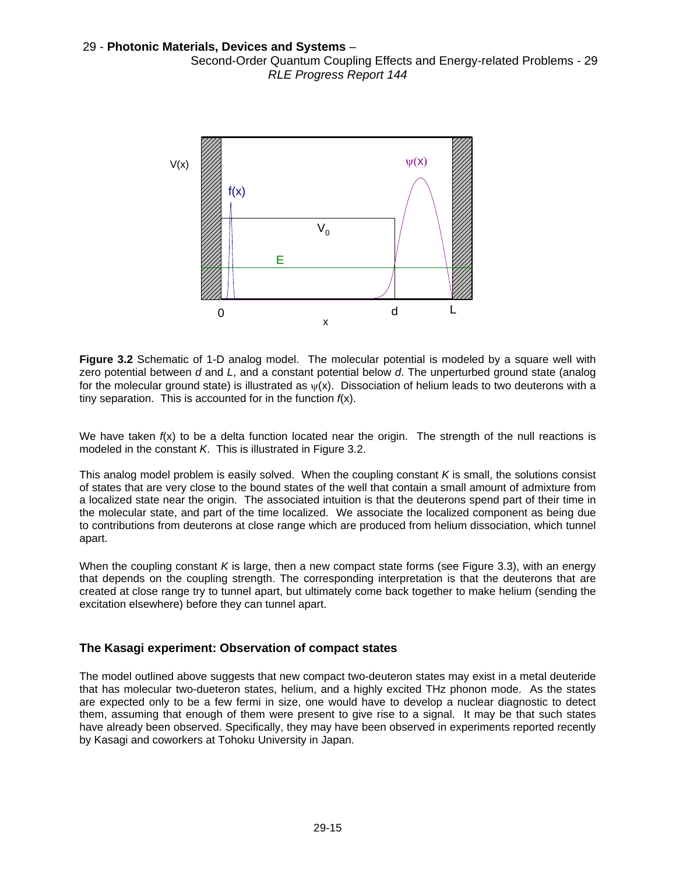

**Figure 3.2** Schematic of 1-D analog model. The molecular potential is modeled by a square well with zero potential between *d* and *L*, and a constant potential below *d*. The unperturbed ground state (analog for the molecular ground state) is illustrated as  $\psi(x)$ . Dissociation of helium leads to two deuterons with a tiny separation. This is accounted for in the function *f*(x).

We have taken  $f(x)$  to be a delta function located near the origin. The strength of the null reactions is modeled in the constant *K*. This is illustrated in Figure 3.2.

This analog model problem is easily solved. When the coupling constant *K* is small, the solutions consist of states that are very close to the bound states of the well that contain a small amount of admixture from a localized state near the origin. The associated intuition is that the deuterons spend part of their time in the molecular state, and part of the time localized. We associate the localized component as being due to contributions from deuterons at close range which are produced from helium dissociation, which tunnel apart.

When the coupling constant *K* is large, then a new compact state forms (see Figure 3.3), with an energy that depends on the coupling strength. The corresponding interpretation is that the deuterons that are created at close range try to tunnel apart, but ultimately come back together to make helium (sending the excitation elsewhere) before they can tunnel apart.

### **The Kasagi experiment: Observation of compact states**

The model outlined above suggests that new compact two-deuteron states may exist in a metal deuteride that has molecular two-dueteron states, helium, and a highly excited THz phonon mode. As the states are expected only to be a few fermi in size, one would have to develop a nuclear diagnostic to detect them, assuming that enough of them were present to give rise to a signal. It may be that such states have already been observed. Specifically, they may have been observed in experiments reported recently by Kasagi and coworkers at Tohoku University in Japan.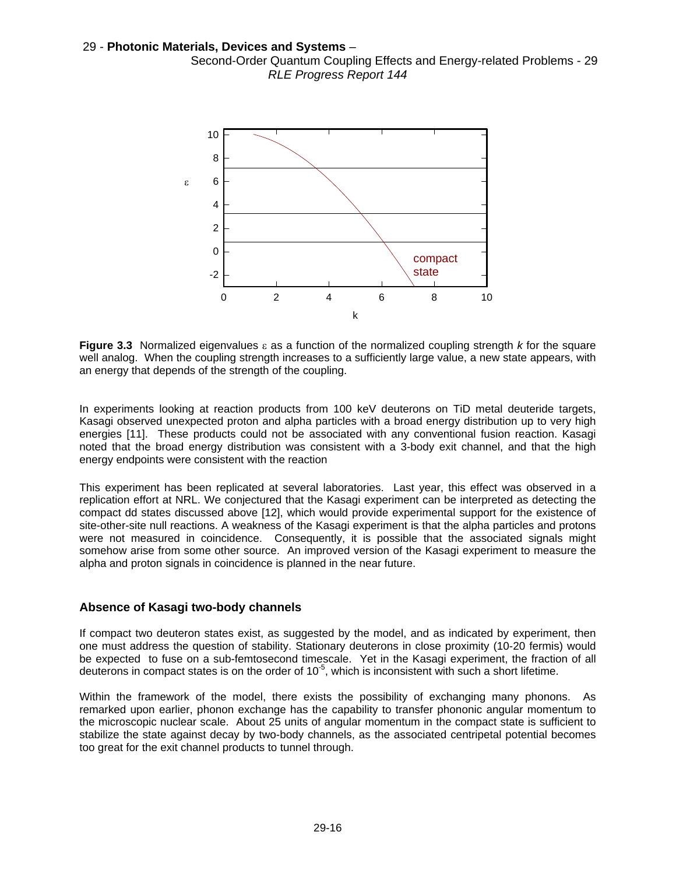

**Figure 3.3** Normalized eigenvalues ε as a function of the normalized coupling strength *k* for the square well analog. When the coupling strength increases to a sufficiently large value, a new state appears, with an energy that depends of the strength of the coupling.

In experiments looking at reaction products from 100 keV deuterons on TiD metal deuteride targets, Kasagi observed unexpected proton and alpha particles with a broad energy distribution up to very high energies [11]. These products could not be associated with any conventional fusion reaction. Kasagi noted that the broad energy distribution was consistent with a 3-body exit channel, and that the high energy endpoints were consistent with the reaction

This experiment has been replicated at several laboratories. Last year, this effect was observed in a replication effort at NRL. We conjectured that the Kasagi experiment can be interpreted as detecting the compact dd states discussed above [12], which would provide experimental support for the existence of site-other-site null reactions. A weakness of the Kasagi experiment is that the alpha particles and protons were not measured in coincidence. Consequently, it is possible that the associated signals might somehow arise from some other source. An improved version of the Kasagi experiment to measure the alpha and proton signals in coincidence is planned in the near future.

### **Absence of Kasagi two-body channels**

If compact two deuteron states exist, as suggested by the model, and as indicated by experiment, then one must address the question of stability. Stationary deuterons in close proximity (10-20 fermis) would be expected to fuse on a sub-femtosecond timescale. Yet in the Kasagi experiment, the fraction of all deuterons in compact states is on the order of 10-5, which is inconsistent with such a short lifetime.

Within the framework of the model, there exists the possibility of exchanging many phonons. As remarked upon earlier, phonon exchange has the capability to transfer phononic angular momentum to the microscopic nuclear scale. About 25 units of angular momentum in the compact state is sufficient to stabilize the state against decay by two-body channels, as the associated centripetal potential becomes too great for the exit channel products to tunnel through.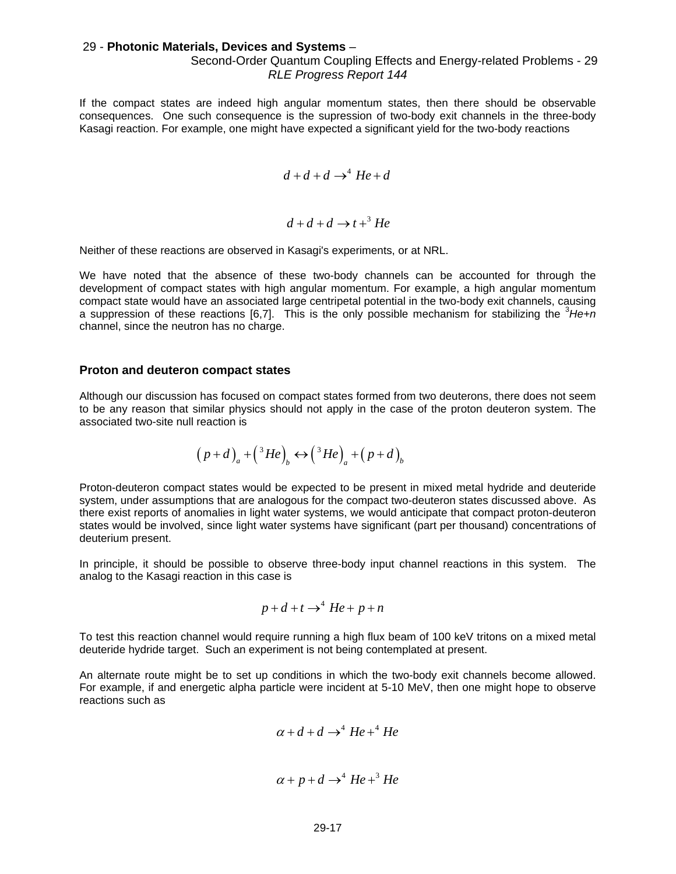### Second-Order Quantum Coupling Effects and Energy-related Problems - 29 *RLE Progress Report 144*

If the compact states are indeed high angular momentum states, then there should be observable consequences. One such consequence is the supression of two-body exit channels in the three-body Kasagi reaction. For example, one might have expected a significant yield for the two-body reactions

$$
d + d + d \rightarrow^4 He + d
$$

$$
d + d + d \rightarrow t + ^3He
$$

Neither of these reactions are observed in Kasagi's experiments, or at NRL.

We have noted that the absence of these two-body channels can be accounted for through the development of compact states with high angular momentum. For example, a high angular momentum compact state would have an associated large centripetal potential in the two-body exit channels, causing a suppression of these reactions [6,7]. This is the only possible mechanism for stabilizing the <sup>3</sup> *He+n* channel, since the neutron has no charge.

#### **Proton and deuteron compact states**

Although our discussion has focused on compact states formed from two deuterons, there does not seem to be any reason that similar physics should not apply in the case of the proton deuteron system. The associated two-site null reaction is

$$
(p+d)_a + {3He}_b \leftrightarrow {3He}_a + (p+d)_b
$$

Proton-deuteron compact states would be expected to be present in mixed metal hydride and deuteride system, under assumptions that are analogous for the compact two-deuteron states discussed above. As there exist reports of anomalies in light water systems, we would anticipate that compact proton-deuteron states would be involved, since light water systems have significant (part per thousand) concentrations of deuterium present.

In principle, it should be possible to observe three-body input channel reactions in this system. The analog to the Kasagi reaction in this case is

$$
p + d + t \rightarrow^4 He + p + n
$$

To test this reaction channel would require running a high flux beam of 100 keV tritons on a mixed metal deuteride hydride target. Such an experiment is not being contemplated at present.

An alternate route might be to set up conditions in which the two-body exit channels become allowed. For example, if and energetic alpha particle were incident at 5-10 MeV, then one might hope to observe reactions such as

$$
\alpha + d + d \rightarrow^4 He +^4 He
$$

$$
\alpha + p + d \rightarrow^4 He + ^3He
$$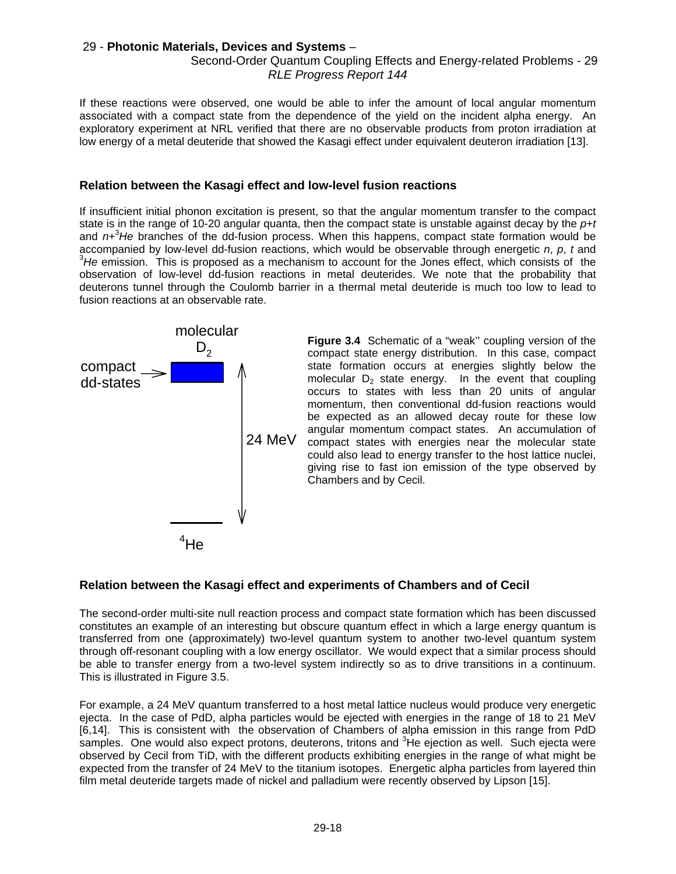### Second-Order Quantum Coupling Effects and Energy-related Problems - 29 *RLE Progress Report 144*

If these reactions were observed, one would be able to infer the amount of local angular momentum associated with a compact state from the dependence of the yield on the incident alpha energy. An exploratory experiment at NRL verified that there are no observable products from proton irradiation at low energy of a metal deuteride that showed the Kasagi effect under equivalent deuteron irradiation [13].

### **Relation between the Kasagi effect and low-level fusion reactions**

If insufficient initial phonon excitation is present, so that the angular momentum transfer to the compact state is in the range of 10-20 angular quanta, then the compact state is unstable against decay by the *p*+*t* and *n*+3 *He* branches of the dd-fusion process. When this happens, compact state formation would be accompanied by low-level dd-fusion reactions, which would be observable through energetic *n*, *p*, *t* and 3 *He* emission. This is proposed as a mechanism to account for the Jones effect, which consists of the observation of low-level dd-fusion reactions in metal deuterides. We note that the probability that deuterons tunnel through the Coulomb barrier in a thermal metal deuteride is much too low to lead to fusion reactions at an observable rate.



**Figure 3.4** Schematic of a "weak'' coupling version of the compact state energy distribution. In this case, compact state formation occurs at energies slightly below the molecular  $D_2$  state energy. In the event that coupling occurs to states with less than 20 units of angular momentum, then conventional dd-fusion reactions would be expected as an allowed decay route for these low angular momentum compact states. An accumulation of compact states with energies near the molecular state could also lead to energy transfer to the host lattice nuclei, giving rise to fast ion emission of the type observed by Chambers and by Cecil.

# **Relation between the Kasagi effect and experiments of Chambers and of Cecil**

The second-order multi-site null reaction process and compact state formation which has been discussed constitutes an example of an interesting but obscure quantum effect in which a large energy quantum is transferred from one (approximately) two-level quantum system to another two-level quantum system through off-resonant coupling with a low energy oscillator. We would expect that a similar process should be able to transfer energy from a two-level system indirectly so as to drive transitions in a continuum. This is illustrated in Figure 3.5.

For example, a 24 MeV quantum transferred to a host metal lattice nucleus would produce very energetic ejecta. In the case of PdD, alpha particles would be ejected with energies in the range of 18 to 21 MeV [6,14]. This is consistent with the observation of Chambers of alpha emission in this range from PdD samples. One would also expect protons, deuterons, tritons and <sup>3</sup>He ejection as well. Such ejecta were observed by Cecil from TiD, with the different products exhibiting energies in the range of what might be expected from the transfer of 24 MeV to the titanium isotopes. Energetic alpha particles from layered thin film metal deuteride targets made of nickel and palladium were recently observed by Lipson [15].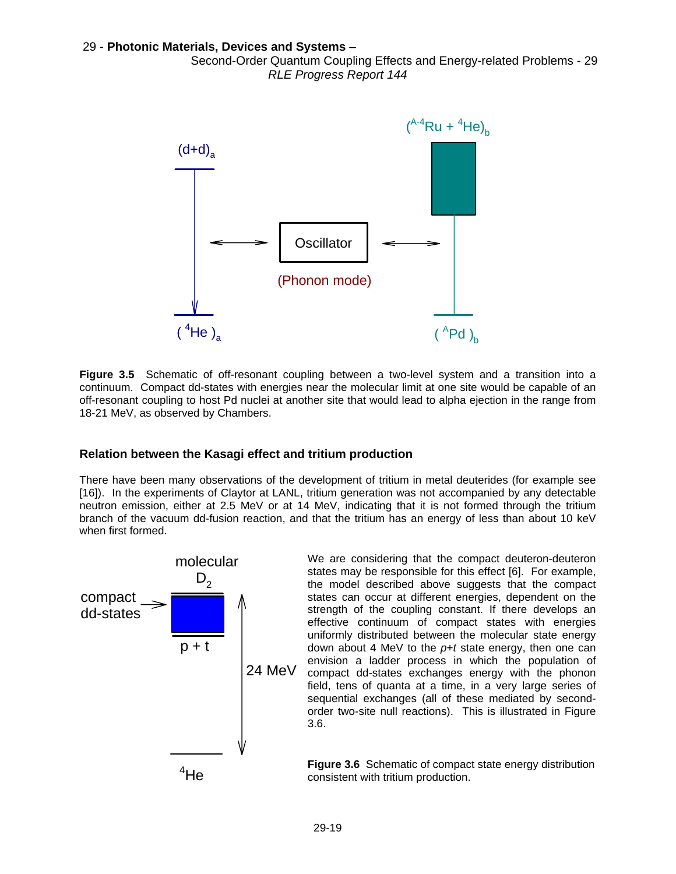Second-Order Quantum Coupling Effects and Energy-related Problems - 29 *RLE Progress Report 144* 



**Figure 3.5** Schematic of off-resonant coupling between a two-level system and a transition into a continuum. Compact dd-states with energies near the molecular limit at one site would be capable of an off-resonant coupling to host Pd nuclei at another site that would lead to alpha ejection in the range from 18-21 MeV, as observed by Chambers.

### **Relation between the Kasagi effect and tritium production**

There have been many observations of the development of tritium in metal deuterides (for example see [16]). In the experiments of Claytor at LANL, tritium generation was not accompanied by any detectable neutron emission, either at 2.5 MeV or at 14 MeV, indicating that it is not formed through the tritium branch of the vacuum dd-fusion reaction, and that the tritium has an energy of less than about 10 keV when first formed.



We are considering that the compact deuteron-deuteron states may be responsible for this effect [6]. For example, the model described above suggests that the compact states can occur at different energies, dependent on the strength of the coupling constant. If there develops an effective continuum of compact states with energies uniformly distributed between the molecular state energy down about 4 MeV to the *p*+*t* state energy, then one can envision a ladder process in which the population of compact dd-states exchanges energy with the phonon field, tens of quanta at a time, in a very large series of sequential exchanges (all of these mediated by secondorder two-site null reactions). This is illustrated in Figure 3.6.

**Figure 3.6** Schematic of compact state energy distribution consistent with tritium production.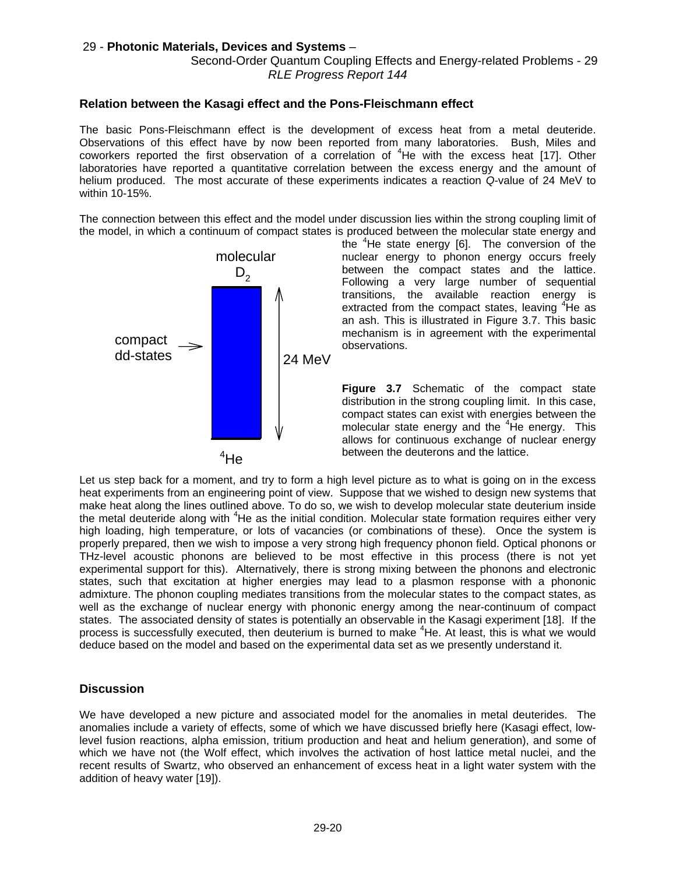Second-Order Quantum Coupling Effects and Energy-related Problems - 29 *RLE Progress Report 144* 

### **Relation between the Kasagi effect and the Pons-Fleischmann effect**

The basic Pons-Fleischmann effect is the development of excess heat from a metal deuteride. Observations of this effect have by now been reported from many laboratories. Bush, Miles and coworkers reported the first observation of a correlation of  ${}^{4}$ He with the excess heat [17]. Other laboratories have reported a quantitative correlation between the excess energy and the amount of helium produced. The most accurate of these experiments indicates a reaction *Q*-value of 24 MeV to within 10-15%.

The connection between this effect and the model under discussion lies within the strong coupling limit of the model, in which a continuum of compact states is produced between the molecular state energy and



the <sup>4</sup>He state energy [6]. The conversion of the nuclear energy to phonon energy occurs freely between the compact states and the lattice. Following a very large number of sequential transitions, the available reaction energy is extracted from the compact states, leaving  $4H$  as an ash. This is illustrated in Figure 3.7. This basic mechanism is in agreement with the experimental observations.

**Figure 3.7** Schematic of the compact state distribution in the strong coupling limit. In this case, compact states can exist with energies between the molecular state energy and the  $4$ He energy. This allows for continuous exchange of nuclear energy between the deuterons and the lattice.

Let us step back for a moment, and try to form a high level picture as to what is going on in the excess heat experiments from an engineering point of view. Suppose that we wished to design new systems that make heat along the lines outlined above. To do so, we wish to develop molecular state deuterium inside the metal deuteride along with <sup>4</sup>He as the initial condition. Molecular state formation requires either very high loading, high temperature, or lots of vacancies (or combinations of these). Once the system is properly prepared, then we wish to impose a very strong high frequency phonon field. Optical phonons or THz-level acoustic phonons are believed to be most effective in this process (there is not yet experimental support for this). Alternatively, there is strong mixing between the phonons and electronic states, such that excitation at higher energies may lead to a plasmon response with a phononic admixture. The phonon coupling mediates transitions from the molecular states to the compact states, as well as the exchange of nuclear energy with phononic energy among the near-continuum of compact states. The associated density of states is potentially an observable in the Kasagi experiment [18]. If the process is successfully executed, then deuterium is burned to make <sup>4</sup>He. At least, this is what we would deduce based on the model and based on the experimental data set as we presently understand it.

### **Discussion**

We have developed a new picture and associated model for the anomalies in metal deuterides. The anomalies include a variety of effects, some of which we have discussed briefly here (Kasagi effect, lowlevel fusion reactions, alpha emission, tritium production and heat and helium generation), and some of which we have not (the Wolf effect, which involves the activation of host lattice metal nuclei, and the recent results of Swartz, who observed an enhancement of excess heat in a light water system with the addition of heavy water [19]).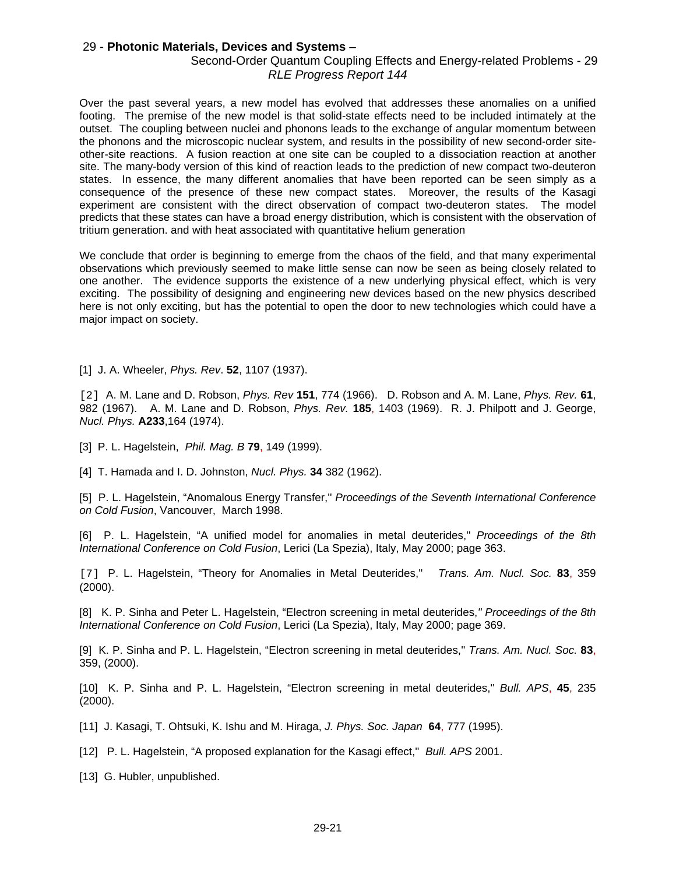### Second-Order Quantum Coupling Effects and Energy-related Problems - 29 *RLE Progress Report 144*

Over the past several years, a new model has evolved that addresses these anomalies on a unified footing. The premise of the new model is that solid-state effects need to be included intimately at the outset. The coupling between nuclei and phonons leads to the exchange of angular momentum between the phonons and the microscopic nuclear system, and results in the possibility of new second-order siteother-site reactions. A fusion reaction at one site can be coupled to a dissociation reaction at another site. The many-body version of this kind of reaction leads to the prediction of new compact two-deuteron states. In essence, the many different anomalies that have been reported can be seen simply as a consequence of the presence of these new compact states. Moreover, the results of the Kasagi experiment are consistent with the direct observation of compact two-deuteron states. The model predicts that these states can have a broad energy distribution, which is consistent with the observation of tritium generation. and with heat associated with quantitative helium generation

We conclude that order is beginning to emerge from the chaos of the field, and that many experimental observations which previously seemed to make little sense can now be seen as being closely related to one another. The evidence supports the existence of a new underlying physical effect, which is very exciting. The possibility of designing and engineering new devices based on the new physics described here is not only exciting, but has the potential to open the door to new technologies which could have a major impact on society.

[1] J. A. Wheeler, *Phys. Rev*. **52**, 1107 (1937).

[2] A. M. Lane and D. Robson, *Phys. Rev* **151**, 774 (1966). D. Robson and A. M. Lane, *Phys. Rev.* **61**, 982 (1967). A. M. Lane and D. Robson, *Phys. Rev.* **185**, 1403 (1969). R. J. Philpott and J. George, *Nucl. Phys.* **A233**,164 (1974).

[3] P. L. Hagelstein, *Phil. Mag. B* **79**, 149 (1999).

[4] T. Hamada and I. D. Johnston, *Nucl. Phys.* **34** 382 (1962).

[5] P. L. Hagelstein, "Anomalous Energy Transfer,'' *Proceedings of the Seventh International Conference on Cold Fusion*, Vancouver, March 1998.

[6] P. L. Hagelstein, "A unified model for anomalies in metal deuterides,'' *Proceedings of the 8th International Conference on Cold Fusion*, Lerici (La Spezia), Italy, May 2000; page 363.

[7] P. L. Hagelstein, "Theory for Anomalies in Metal Deuterides,'' *Trans. Am. Nucl. Soc.* **83**, 359 (2000).

[8] K. P. Sinha and Peter L. Hagelstein, "Electron screening in metal deuterides,*'' Proceedings of the 8th International Conference on Cold Fusion*, Lerici (La Spezia), Italy, May 2000; page 369.

[9] K. P. Sinha and P. L. Hagelstein, "Electron screening in metal deuterides,'' *Trans. Am. Nucl. Soc.* **83**, 359, (2000).

[10] K. P. Sinha and P. L. Hagelstein, "Electron screening in metal deuterides,'' *Bull. APS*, **45**, 235 (2000).

[11] J. Kasagi, T. Ohtsuki, K. Ishu and M. Hiraga, *J. Phys. Soc. Japan* **64**, 777 (1995).

[12] P. L. Hagelstein, "A proposed explanation for the Kasagi effect,'' *Bull. APS* 2001.

[13] G. Hubler, unpublished.